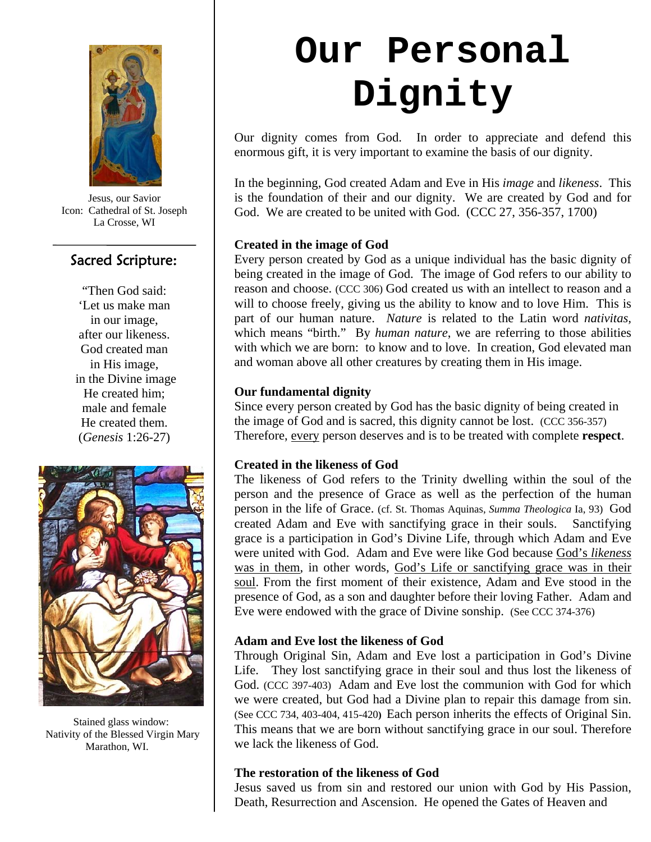

Jesus, our Savior Icon: Cathedral of St. Joseph La Crosse, WI

# Sacred Scripture:

"Then God said: 'Let us make man in our image, after our likeness. God created man in His image, in the Divine image He created him; male and female He created them. (*Genesis* 1:26-27)



 Stained glass window: Nativity of the Blessed Virgin Mary Marathon, WI.

# **Our Personal Dignity**

Our dignity comes from God. In order to appreciate and defend this enormous gift, it is very important to examine the basis of our dignity.

In the beginning, God created Adam and Eve in His *image* and *likeness*. This is the foundation of their and our dignity. We are created by God and for God. We are created to be united with God. (CCC 27, 356-357, 1700)

# **Created in the image of God**

Every person created by God as a unique individual has the basic dignity of being created in the image of God. The image of God refers to our ability to reason and choose. (CCC 306) God created us with an intellect to reason and a will to choose freely, giving us the ability to know and to love Him. This is part of our human nature. *Nature* is related to the Latin word *nativitas,* which means "birth." By *human nature*, we are referring to those abilities with which we are born: to know and to love. In creation, God elevated man and woman above all other creatures by creating them in His image.

# **Our fundamental dignity**

Since every person created by God has the basic dignity of being created in the image of God and is sacred, this dignity cannot be lost. (CCC 356-357) Therefore, every person deserves and is to be treated with complete **respect**.

# **Created in the likeness of God**

The likeness of God refers to the Trinity dwelling within the soul of the person and the presence of Grace as well as the perfection of the human person in the life of Grace. (cf. St. Thomas Aquinas, *Summa Theologica* Ia, 93) God created Adam and Eve with sanctifying grace in their souls. Sanctifying grace is a participation in God's Divine Life, through which Adam and Eve were united with God. Adam and Eve were like God because God's *likeness* was in them, in other words, God's Life or sanctifying grace was in their soul. From the first moment of their existence, Adam and Eve stood in the presence of God, as a son and daughter before their loving Father. Adam and Eve were endowed with the grace of Divine sonship. (See CCC 374-376)

# **Adam and Eve lost the likeness of God**

Through Original Sin, Adam and Eve lost a participation in God's Divine Life. They lost sanctifying grace in their soul and thus lost the likeness of God. (CCC 397-403) Adam and Eve lost the communion with God for which we were created, but God had a Divine plan to repair this damage from sin. (See CCC 734, 403-404, 415-420**)** Each person inherits the effects of Original Sin. This means that we are born without sanctifying grace in our soul. Therefore we lack the likeness of God.

#### **The restoration of the likeness of God**

Jesus saved us from sin and restored our union with God by His Passion, Death, Resurrection and Ascension. He opened the Gates of Heaven and